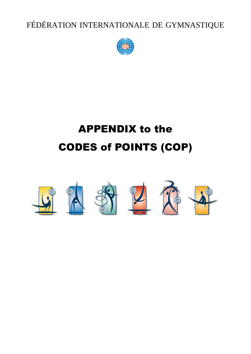FÉDÉRATION INTERNATIONALE DE GYMNASTIQUE



# APPENDIX to the CODES of POINTS (COP)

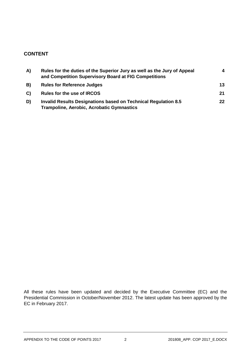# **CONTENT**

| A) | Rules for the duties of the Superior Jury as well as the Jury of Appeal<br>and Competition Supervisory Board at FIG Competitions | 4               |
|----|----------------------------------------------------------------------------------------------------------------------------------|-----------------|
| B) | <b>Rules for Reference Judges</b>                                                                                                | 13              |
| C) | <b>Rules for the use of IRCOS</b>                                                                                                | 21              |
| D) | Invalid Results Designations based on Technical Regulation 8.5<br><b>Trampoline, Aerobic, Acrobatic Gymnastics</b>               | 22 <sub>2</sub> |

All these rules have been updated and decided by the Executive Committee (EC) and the Presidential Commission in October/November 2012. The latest update has been approved by the EC in February 2017.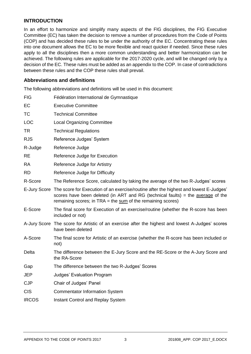# **INTRODUCTION**

In an effort to harmonize and simplify many aspects of the FIG disciplines, the FIG Executive Committee (EC) has taken the decision to remove a number of procedures from the Code of Points (COP) and has decided these rules to be under the authority of the EC. Concentrating these rules into one document allows the EC to be more flexible and react quicker if needed. Since these rules apply to all the disciplines then a more common understanding and better harmonization can be achieved. The following rules are applicable for the 2017-2020 cycle, and will be changed only by a decision of the EC. These rules must be added as an appendix to the COP. In case of contradictions between these rules and the COP these rules shall prevail.

## **Abbreviations and definitions**

The following abbreviations and definitions will be used in this document:

| <b>FIG</b>   | Fédération International de Gymnastique                                                                                                                                                                                                                  |
|--------------|----------------------------------------------------------------------------------------------------------------------------------------------------------------------------------------------------------------------------------------------------------|
| EC           | <b>Executive Committee</b>                                                                                                                                                                                                                               |
| <b>TC</b>    | <b>Technical Committee</b>                                                                                                                                                                                                                               |
| <b>LOC</b>   | <b>Local Organizing Committee</b>                                                                                                                                                                                                                        |
| <b>TR</b>    | <b>Technical Regulations</b>                                                                                                                                                                                                                             |
| <b>RJS</b>   | Reference Judges' System                                                                                                                                                                                                                                 |
| R-Judge      | Reference Judge                                                                                                                                                                                                                                          |
| <b>RE</b>    | Reference Judge for Execution                                                                                                                                                                                                                            |
| <b>RA</b>    | Reference Judge for Artistry                                                                                                                                                                                                                             |
| <b>RD</b>    | Reference Judge for Difficulty                                                                                                                                                                                                                           |
| R-Score      | The Reference Score, calculated by taking the average of the two R-Judges' scores                                                                                                                                                                        |
|              | E-Jury Score The score for Execution of an exercise/routine after the highest and lowest E-Judges'<br>scores have been deleted (in ART and RG (technical faults) = the average of the<br>remaining scores; in $TRA =$ the $sum$ of the remaining scores) |
| E-Score      | The final score for Execution of an exercise/routine (whether the R-score has been<br>included or not)                                                                                                                                                   |
|              | A-Jury Score The score for Artistic of an exercise after the highest and lowest A-Judges' scores<br>have been deleted                                                                                                                                    |
| A-Score      | The final score for Artistic of an exercise (whether the R-score has been included or<br>not)                                                                                                                                                            |
| Delta        | The difference between the E-Jury Score and the RE-Score or the A-Jury Score and<br>the RA-Score                                                                                                                                                         |
| Gap          | The difference between the two R-Judges' Scores                                                                                                                                                                                                          |
| <b>JEP</b>   | <b>Judges' Evaluation Program</b>                                                                                                                                                                                                                        |
| <b>CJP</b>   | Chair of Judges' Panel                                                                                                                                                                                                                                   |
| <b>CIS</b>   | <b>Commentator Information System</b>                                                                                                                                                                                                                    |
| <b>IRCOS</b> | <b>Instant Control and Replay System</b>                                                                                                                                                                                                                 |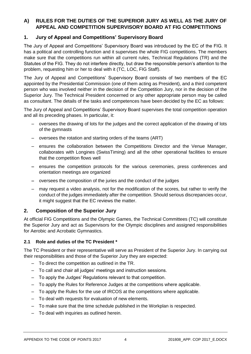# **A) RULES FOR THE DUTIES OF THE SUPERIOR JURY AS WELL AS THE JURY OF APPEAL AND COMPETITION SUPERVISORY BOARD AT FIG COMPETITIONS**

# **1. Jury of Appeal and Competitions' Supervisory Board**

The Jury of Appeal and Competitions' Supervisory Board was introduced by the EC of the FIG. It has a political and controlling function and it supervises the whole FIG competitions. The members make sure that the competitions run within all current rules, Technical Regulations (TR) and the Statutes of the FIG. They do not interfere directly, but draw the responsible person's attention to the problem, requesting him or her to deal with it (TC, LOC, FIG Staff).

The Jury of Appeal and Competitions' Supervisory Board consists of two members of the EC appointed by the Presidential Commission (one of them acting as President), and a third competent person who was involved neither in the decision of the Competition Jury, nor in the decision of the Superior Jury. The Technical President concerned or any other appropriate person may be called as consultant. The details of the tasks and competences have been decided by the EC as follows:

The Jury of Appeal and Competitions' Supervisory Board supervises the total competition operation and all its preceding phases. In particular, it:

- oversees the drawing of lots for the judges and the correct application of the drawing of lots of the gymnasts
- oversees the rotation and starting orders of the teams (ART)
- ensures the collaboration between the Competitions Director and the Venue Manager, collaborates with Longines (SwissTiming) and all the other operational facilities to ensure that the competition flows well
- ensures the competition protocols for the various ceremonies, press conferences and orientation meetings are organized
- oversees the composition of the juries and the conduct of the judges
- may request a video analysis, not for the modification of the scores, but rather to verify the conduct of the judges immediately after the competition. Should serious discrepancies occur, it might suggest that the EC reviews the matter.

# **2. Composition of the Superior Jury**

At official FIG Competitions and the Olympic Games, the Technical Committees (TC) will constitute the Superior Jury and act as Supervisors for the Olympic disciplines and assigned responsibilities for Aerobic and Acrobatic Gymnastics.

## **2.1 Role and duties of the TC President \***

The TC President or their representative will serve as President of the Superior Jury. In carrying out their responsibilities and those of the Superior Jury they are expected:

- To direct the competition as outlined in the TR.
- To call and chair all judges' meetings and instruction sessions.
- To apply the Judges' Regulations relevant to that competition.
- To apply the Rules for Reference Judges at the competitions where applicable.
- To apply the Rules for the use of IRCOS at the competitions where applicable.
- To deal with requests for evaluation of new elements.
- To make sure that the time schedule published in the Workplan is respected.
- To deal with inquiries as outlined herein.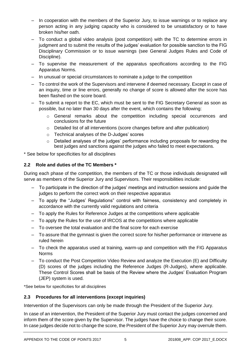- In cooperation with the members of the Superior Jury, to issue warnings or to replace any person acting in any judging capacity who is considered to be unsatisfactory or to have broken his/her oath.
- To conduct a global video analysis (post competition) with the TC to determine errors in judgment and to submit the results of the judges' evaluation for possible sanction to the FIG Disciplinary Commission or to issue warnings (see General Judges Rules and Code of Discipline).
- To supervise the measurement of the apparatus specifications according to the FIG Apparatus Norms.
- In unusual or special circumstances to nominate a judge to the competition
- To control the work of the Supervisors and intervene if deemed necessary. Except in case of an inquiry, time or line errors, generally no change of score is allowed after the score has been flashed on the score board.
- To submit a report to the EC, which must be sent to the FIG Secretary General as soon as possible, but no later than 30 days after the event, which contains the following:
	- $\circ$  General remarks about the competition including special occurrences and conclusions for the future
	- o Detailed list of all interventions (score changes before and after publication)
	- o Technical analyses of the D-Judges' scores
	- o Detailed analyses of the judges' performance including proposals for rewarding the best judges and sanctions against the judges who failed to meet expectations.

\* See below for specificities for all disciplines

# **2.2 Role and duties of the TC Members \***

During each phase of the competition, the members of the TC or those individuals designated will serve as members of the Superior Jury and Supervisors. Their responsibilities include:

- To participate in the direction of the judges' meetings and instruction sessions and guide the judges to perform the correct work on their respective apparatus
- To apply the "Judges' Regulations" control with fairness, consistency and completely in accordance with the currently valid regulations and criteria
- To apply the Rules for Reference Judges at the competitions where applicable
- To apply the Rules for the use of IRCOS at the competitions where applicable
- To oversee the total evaluation and the final score for each exercise
- To assure that the gymnast is given the correct score for his/her performance or intervene as ruled herein
- To check the apparatus used at training, warm-up and competition with the FIG Apparatus Norms
- To conduct the Post Competition Video Review and analyze the Execution (E) and Difficulty (D) scores of the judges including the Reference Judges (R-Judges), where applicable. These Control Scores shall be basis of the Review where the Judges' Evaluation Program (JEP) system is used.

\*See below for specificities for all disciplines

## **2.3 Procedures for all interventions (except inquiries)**

Intervention of the Supervisors can only be made through the President of the Superior Jury.

In case of an intervention, the President of the Superior Jury must contact the judges concerned and inform them of the score given by the Supervisor. The judges have the choice to change their score. In case judges decide not to change the score, the President of the Superior Jury may overrule them.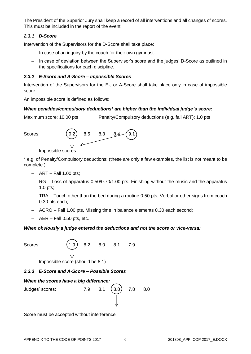The President of the Superior Jury shall keep a record of all interventions and all changes of scores. This must be included in the report of the event.

# *2.3.1 D-Score*

Intervention of the Supervisors for the D-Score shall take place:

- In case of an inquiry by the coach for their own gymnast.
- In case of deviation between the Supervisor's score and the judges' D-Score as outlined in the specifications for each discipline.

# *2.3.2 E-Score and A-Score – Impossible Scores*

Intervention of the Supervisors for the E-, or A-Score shall take place only in case of impossible score.

An impossible score is defined as follows:

## *When penalties/compulsory deductions\* are higher than the individual judge`s score:*

Maximum score: 10.00 pts Penalty/Compulsory deductions (e.g. fall ART): 1.0 pts



Impossible scores

\* e.g. of Penalty/Compulsory deductions: (these are only a few examples, the list is not meant to be complete.)

- $-$  ART Fall 1.00 pts;
- RG Loss of apparatus 0.50/0.70/1.00 pts. Finishing without the music and the apparatus 1.0 pts;
- TRA Touch other than the bed during a routine 0.50 pts, Verbal or other signs from coach 0.30 pts each;
- ACRO Fall 1.00 pts, Missing time in balance elements 0.30 each second;
- $-$  AER Fall 0.50 pts, etc.

## *When obviously a judge entered the deductions and not the score or vice-versa:*

Scores: (1.9) 8.2 8.0 8.1 7.9

Impossible score (should be 8.1)

## *2.3.3 E-Score and A-Score – Possible Scores*

## *When the scores have a big difference:*



Score must be accepted without interference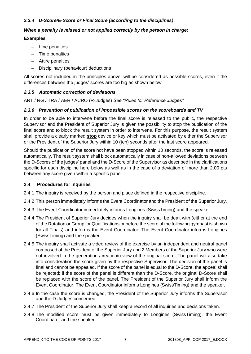# *2.3.4 D-Score/E-Score or Final Score (according to the disciplines)*

## *When a penalty is missed or not applied correctly by the person in charge:*

## **Examples**

- Line penalties
- Time penalties
- Attire penalties
- Disciplinary (behaviour) deductions

All scores not included in the principles above, will be considered as possible scores, even if the differences between the judges' scores are too big as shown below.

## *2.3.5 Automatic correction of deviations*

ART / RG / TRA / AER / ACRO (R-Judges) *See "Rules for Reference Judges"*

## *2.3.6 Prevention of publication of impossible scores on the scoreboards and TV*

In order to be able to intervene before the final score is released to the public, the respective Supervisor and the President of Superior Jury is given the possibility to stop the publication of the final score and to block the result system in order to intervene. For this purpose, the result system shall provide a clearly marked **stop** device or key which must be activated by either the Supervisor or the President of the Superior Jury within 10 (ten) seconds after the last score appeared.

Should the publication of the score not have been stopped within 10 seconds, the score is released automatically. The result system shall block automatically in case of non-allowed deviations between the D-Scores of the judges' panel and the D-Score of the Supervisor as described in the clarifications specific for each discipline here below as well as in the case of a deviation of more than 2.00 pts between any score given within a specific panel.

#### **2.4 Procedures for inquiries**

- 2.4.1 The inquiry is received by the person and place defined in the respective discipline.
- 2.4.2 This person immediately informs the Event Coordinator and the President of the Superior Jury.
- 2.4.3 The Event Coordinator immediately informs Longines (SwissTiming) and the speaker.
- 2.4.4 The President of Superior Jury decides when the inquiry shall be dealt with (either at the end of the Rotation or Group for Qualifications or before the score of the following gymnast is shown for all Finals) and informs the Event Coordinator. The Event Coordinator informs Longines (SwissTiming) and the speaker.
- 2.4.5 The inquiry shall activate a video review of the exercise by an independent and neutral panel composed of the President of the Superior Jury and 2 Members of the Superior Jury who were not involved in the generation /creation/review of the original score. The panel will also take into consideration the score given by the respective Supervisor. The decision of the panel is final and cannot be appealed. If the score of the panel is equal to the D-Score, the appeal shall be rejected; if the score of the panel is different than the D-Score, the original D-Score shall be replaced with the score of the panel. The President of the Superior Jury shall inform the Event Coordinator. The Event Coordinator informs Longines (SwissTiming) and the speaker.
- 2.4.6 In the case the score is changed, the President of the Superior Jury informs the Supervisor and the D-Judges concerned.
- 2.4.7 The President of the Superior Jury shall keep a record of all inquiries and decisions taken.
- 2.4.8 The modified score must be given immediately to Longines (SwissTiming), the Event Coordinator and the speaker.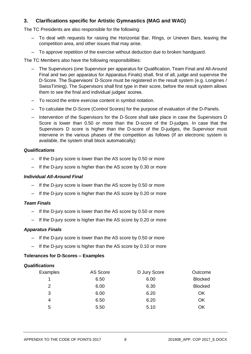# **3. Clarifications specific for Artistic Gymnastics (MAG and WAG)**

The TC Presidents are also responsible for the following:

- To deal with requests for raising the Horizontal Bar, Rings, or Uneven Bars, leaving the competition area, and other issues that may arise.
- To approve repetition of the exercise without deduction due to broken handguard.

The TC Members also have the following responsibilities:

- The Supervisors (one Supervisor per apparatus for Qualification, Team Final and All-Around Final and two per apparatus for Apparatus Finals) shall, first of all, judge and supervise the D-Score. The Supervisors' D-Score must be registered in the result system (e.g. Longines / SwissTiming). The Supervisors shall first type in their score, before the result system allows them to see the final and individual judges' scores.
- To record the entire exercise content in symbol notation.
- To calculate the D-Score (Control Scores) for the purpose of evaluation of the D-Panels.
- Intervention of the Supervisors for the D-Score shall take place in case the Supervisors D Score is lower than 0.50 or more than the D-score of the D-judges. In case that the Supervisors D score is higher than the D-score of the D-judges, the Supervisor must intervene in the various phases of the competition as follows (If an electronic system is available, the system shall block automatically):

## *Qualifications*

- If the D-jury score is lower than the AS score by 0.50 or more
- If the D-jury score is higher than the AS score by 0.30 or more

## *Individual All-Around Final*

- If the D-jury score is lower than the AS score by 0.50 or more
- If the D-jury score is higher than the AS score by 0.20 or more

#### *Team Finals*

- If the D-jury score is lower than the AS score by 0.50 or more
- If the D-jury score is higher than the AS score by 0.20 or more

#### *Apparatus Finals*

- If the D-jury score is lower than the AS score by 0.50 or more
- If the D-jury score is higher than the AS score by 0.10 or more

## **Tolerances for D-Scores – Examples**

#### *Qualifications*

| Examples | AS Score | D Jury Score | Outcome        |
|----------|----------|--------------|----------------|
|          | 6.50     | 6.00         | <b>Blocked</b> |
| 2        | 6.00     | 6.30         | <b>Blocked</b> |
| 3        | 6.00     | 6.20         | <b>OK</b>      |
| 4        | 6.50     | 6.20         | <b>OK</b>      |
| 5        | 5.50     | 5.10         | OK             |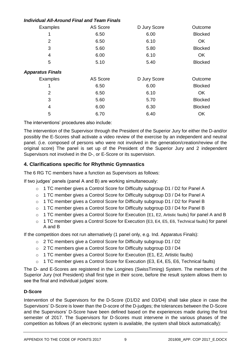# *Individual All-Around Final and Team Finals*

| Examples                | AS Score | D Jury Score | Outcome        |
|-------------------------|----------|--------------|----------------|
|                         | 6.50     | 6.00         | <b>Blocked</b> |
| 2                       | 6.50     | 6.10         | <b>OK</b>      |
| 3                       | 5.60     | 5.80         | <b>Blocked</b> |
| 4                       | 6.00     | 6.10         | <b>OK</b>      |
| 5                       | 5.10     | 5.40         | <b>Blocked</b> |
| <b>Apparatus Finals</b> |          |              |                |
| Examples                | AS Score | D Jury Score | Outcome        |
|                         | 6.50     | 6.00         | <b>Blocked</b> |
| 2                       | 6.50     | 6.10         | OK             |
| 3<br>5.60               |          | 5.70         | <b>Blocked</b> |
| 4                       | 6.00     | 6.30         | <b>Blocked</b> |
| 5                       | 6.70     | 6.40         | OK             |

The interventions' procedures also include:

The intervention of the Supervisor through the President of the Superior Jury for either the D-and/or possibly the E-Scores shall activate a video review of the exercise by an independent and neutral panel. (i.e. composed of persons who were not involved in the generation/creation/review of the original score) The panel is set up of the President of the Superior Jury and 2 independent Supervisors not involved in the D-, or E-Score or its supervision.

# **4. Clarifications specific for Rhythmic Gymnastics**

The 6 RG TC members have a function as Supervisors as follows:

If two judges' panels (panel A and B) are working simultaneously:

- $\circ$  1 TC member gives a Control Score for Difficulty subgroup D1 / D2 for Panel A
- o 1 TC member gives a Control Score for Difficulty subgroup D3 / D4 for Panel A
- $\circ$  1 TC member gives a Control Score for Difficulty subgroup D1 / D2 for Panel B
- o 1 TC member gives a Control Score for Difficulty subgroup D3 / D4 for Panel B
- $\circ$  1 TC member gives a Control Score for Execution (E1, E2, Artistic faults) for panel A and B
- o 1 TC member gives a Control Score for Execution (E3, E4, E5, E6, Technical faults) for panel A and B

If the competition does not run alternatively (1 panel only, e.g. Ind. Apparatus Finals):

- o 2 TC members give a Control Score for Difficulty subgroup D1 / D2
- o 2 TC members give a Control Score for Difficulty subgroup D3 / D4
- $\circ$  1 TC member gives a Control Score for Execution (E1, E2, Artistic faults)
- $\circ$  1 TC member gives a Control Score for Execution (E3, E4, E5, E6, Technical faults)

The D- and E-Scores are registered in the Longines (SwissTiming) System. The members of the Superior Jury (not President) shall first type in their score, before the result system allows them to see the final and individual judges' score.

## **D-Score**

Intervention of the Supervisors for the D-Score (D1/D2 and D3/D4) shall take place in case the Supervisors' D-Score is lower than the D-score of the D-judges; the tolerances between the D-Score and the Supervisors' D-Score have been defined based on the experiences made during the first semester of 2017. The Supervisors for D-Scores must intervene in the various phases of the competition as follows (if an electronic system is available, the system shall block automatically):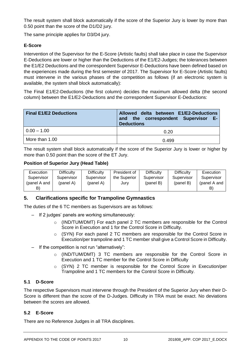The result system shall block automatically if the score of the Superior Jury is lower by more than 0.50 point than the score of the D1/D2 jury.

The same principle applies for D3/D4 jury.

# **E-Score**

Intervention of the Supervisor for the E-Score (Artistic faults) shall take place in case the Supervisor E-Deductions are lower or higher than the Deductions of the E1/E2-Judges; the tolerances between the E1/E2 Deductions and the correspondent Supervisor E-Deductions have been defined based on the experiences made during the first semester of 2017. The Supervisor for E-Score (Artistic faults) must intervene in the various phases of the competition as follows (if an electronic system is available, the system shall block automatically):

The Final E1/E2-Deductions (the first column) decides the maximum allowed delta (the second column) between the E1/E2-Deductions and the correspondent Supervisor E-Deductions:

| <b>Final E1/E2 Deductions</b> | Allowed delta between E1/E2-Deductions<br>and the correspondent Supervisor E-<br><b>Deductions</b> |
|-------------------------------|----------------------------------------------------------------------------------------------------|
| $0.00 - 1.00$                 | 0.20                                                                                               |
| More than 1.00                | 0.499                                                                                              |

The result system shall block automatically if the score of the Superior Jury is lower or higher by more than 0.50 point than the score of the ET Jury.

## **Position of Superior Jury (Head Table)**

| <b>Execution</b> | Difficulty | <b>Difficulty</b> | President of | <b>Difficulty</b> | <b>Difficulty</b> | Execution    |
|------------------|------------|-------------------|--------------|-------------------|-------------------|--------------|
| Supervisor       | Supervisor | Supervisor        | the Superior | Supervisor        | Supervisor        | Supervisor   |
| (panel A and     | (panel A)  | (panel A)         | Jury         | (panel B)         | (panel B)         | (panel A and |
| B)               |            |                   |              |                   |                   |              |

# **5. Clarifications specific for Trampoline Gymnastics**

The duties of the 6 TC members as Supervisors are as follows:

- If 2 judges' panels are working simultaneously:
	- o (IND/TUM/DMT) For each panel 2 TC members are responsible for the Control Score in Execution and 1 for the Control Score in Difficulty.
	- o (SYN) For each panel 2 TC members are responsible for the Control Score in Execution/per trampoline and 1 TC member shall give a Control Score in Difficulty.
- If the competition is not run "alternatively":
	- o (IND/TUM/DMT) 3 TC members are responsible for the Control Score in Execution and 1 TC member for the Control Score in Difficulty
	- o (SYN) 2 TC member is responsible for the Control Score in Execution/per Trampoline and 1 TC members for the Control Score in Difficulty.

## **5.1 D-Score**

The respective Supervisors must intervene through the President of the Superior Jury when their D-Score is different than the score of the D-Judges. Difficulty in TRA must be exact. No deviations between the scores are allowed.

## **5.2 E-Score**

There are no Reference Judges in all TRA disciplines.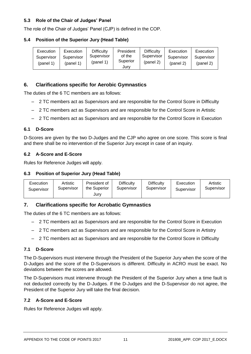# **5.3 Role of the Chair of Judges' Panel**

The role of the Chair of Judges' Panel (CJP) is defined in the COP.

## **5.4 Position of the Superior Jury (Head Table)**

| Execution  | Execution  | <b>Difficulty</b> | President | Difficulty | Execution  | Execution  |
|------------|------------|-------------------|-----------|------------|------------|------------|
| Supervisor | Supervisor | Supervisor        | of the    | Supervisor | Supervisor | Supervisor |
| (panel 1)  | (panel 1)  | (pane 1)          | Superior  | (panel 2)  | (pane 2)   | (panel 2)  |
|            |            |                   | Jurv      |            |            |            |

# **6. Clarifications specific for Aerobic Gymnastics**

The duties of the 6 TC members are as follows:

- 2 TC members act as Supervisors and are responsible for the Control Score in Difficulty
- 2 TC members act as Supervisors and are responsible for the Control Score in Artistic
- 2 TC members act as Supervisors and are responsible for the Control Score in Execution

## **6.1 D-Score**

D-Scores are given by the two D-Judges and the CJP who agree on one score. This score is final and there shall be no intervention of the Superior Jury except in case of an inquiry.

## **6.2 A-Score and E-Score**

Rules for Reference Judges will apply.

#### **6.3 Position of Superior Jury (Head Table)**

| Execution<br>Supervisor | Artistic<br>Supervisor | President of<br>the Superior<br>Jury | <b>Difficulty</b><br>Supervisor | <b>Difficulty</b><br>Supervisor | Execution<br>Supervisor | Artistic<br>Supervisor |
|-------------------------|------------------------|--------------------------------------|---------------------------------|---------------------------------|-------------------------|------------------------|
|-------------------------|------------------------|--------------------------------------|---------------------------------|---------------------------------|-------------------------|------------------------|

## **7. Clarifications specific for Acrobatic Gymnastics**

The duties of the 6 TC members are as follows:

- 2 TC members act as Supervisors and are responsible for the Control Score in Execution
- 2 TC members act as Supervisors and are responsible for the Control Score in Artistry
- 2 TC members act as Supervisors and are responsible for the Control Score in Difficulty

#### **7.1 D-Score**

The D-Supervisors must intervene through the President of the Superior Jury when the score of the D-Judges and the score of the D-Supervisors is different. Difficulty in ACRO must be exact. No deviations between the scores are allowed.

The D-Supervisors must intervene through the President of the Superior Jury when a time fault is not deducted correctly by the D-Judges. If the D-Judges and the D-Supervisor do not agree, the President of the Superior Jury will take the final decision.

#### **7.2 A-Score and E-Score**

Rules for Reference Judges will apply.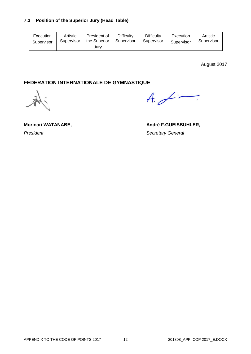# **7.3 Position of the Superior Jury (Head Table)**

| Execution  | Artistic   | President of | <b>Difficulty</b> | <b>Difficulty</b> | Execution  | Artistic   |
|------------|------------|--------------|-------------------|-------------------|------------|------------|
| Supervisor | Supervisor | the Superior | Supervisor        | Supervisor        | Supervisor | Supervisor |
|            |            | Jurv         |                   |                   |            |            |

August 2017

# **FEDERATION INTERNATIONALE DE GYMNASTIQUE**

 $A \neq -$ 

**President Contract Contract Contract Contract Contract Contract Contract Contract Contract Contract Contract Contract Contract Contract Contract Contract Contract Contract Contract Contract Contract Contract Contract Co** 

Morinari WATANABE, **André F.GUEISBUHLER,**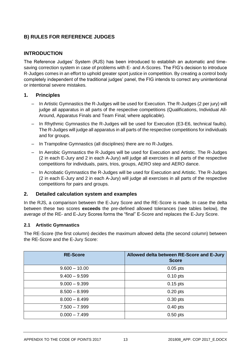# **B) RULES FOR REFERENCE JUDGES**

# **INTRODUCTION**

The Reference Judges' System (RJS) has been introduced to establish an automatic and timesaving correction system in case of problems with E- and A-Scores. The FIG's decision to introduce R-Judges comes in an effort to uphold greater sport justice in competition. By creating a control body completely independent of the traditional judges' panel, the FIG intends to correct any unintentional or intentional severe mistakes.

# **1. Principles**

- In Artistic Gymnastics the R-Judges will be used for Execution. The R-Judges (2 per jury) will judge all apparatus in all parts of the respective competitions (Qualifications, Individual All-Around, Apparatus Finals and Team Final; where applicable).
- In Rhythmic Gymnastics the R-Judges will be used for Execution (E3-E6, technical faults). The R-Judges will judge all apparatus in all parts of the respective competitions for individuals and for groups.
- In Trampoline Gymnastics (all disciplines) there are no R-Judges.
- In Aerobic Gymnastics the R-Judges will be used for Execution and Artistic. The R-Judges (2 in each E-Jury and 2 in each A-Jury) will judge all exercises in all parts of the respective competitions for individuals, pairs, trios, groups, AERO step and AERO dance.
- In Acrobatic Gymnastics the R-Judges will be used for Execution and Artistic. The R-Judges (2 in each E-Jury and 2 in each A-Jury) will judge all exercises in all parts of the respective competitions for pairs and groups.

# **2. Detailed calculation system and examples**

In the RJS, a comparison between the E-Jury Score and the RE-Score is made. In case the delta between these two scores **exceeds** the pre-defined allowed tolerances (see tables below), the average of the RE- and E-Jury Scores forms the "final" E-Score and replaces the E-Jury Score.

# **2.1 Artistic Gymnastics**

The RE-Score (the first column) decides the maximum allowed delta (the second column) between the RE-Score and the E-Jury Score:

| <b>RE-Score</b> | Allowed delta between RE-Score and E-Jury<br><b>Score</b> |
|-----------------|-----------------------------------------------------------|
| $9.600 - 10.00$ | $0.05$ pts                                                |
| $9.400 - 9.599$ | $0.10$ pts                                                |
| $9.000 - 9.399$ | $0.15$ pts                                                |
| $8.500 - 8.999$ | $0.20$ pts                                                |
| $8.000 - 8.499$ | $0.30$ pts                                                |
| $7.500 - 7.999$ | $0.40$ pts                                                |
| $0.000 - 7.499$ | $0.50$ pts                                                |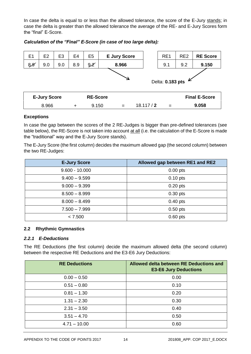In case the delta is equal to or less than the allowed tolerance, the score of the E-Jury stands; in case the delta is greater than the allowed tolerance the average of the RE- and E-Jury Scores form the "final" E-Score.

| E <sub>1</sub> | E <sub>2</sub>                         | E <sub>3</sub> | E4     | E <sub>5</sub>   |  | <b>E Jury Score</b> |          | RE <sub>1</sub> | RE <sub>2</sub> | <b>RE Score</b>      |
|----------------|----------------------------------------|----------------|--------|------------------|--|---------------------|----------|-----------------|-----------------|----------------------|
| 8,8            | 9.0                                    | 9.0            | 8.9    | 9.2 <sup>2</sup> |  | 8.966               |          | 9.1             | 9.2             | 9.150                |
|                | Delta: 0.183 pts $\blacktriangleright$ |                |        |                  |  |                     |          |                 |                 |                      |
|                | <b>E-Jury Score</b>                    |                |        | <b>RE-Score</b>  |  |                     |          |                 |                 | <b>Final E-Score</b> |
|                | 8.966                                  |                | $\div$ | 9.150            |  | $=$                 | 18.117/2 | $=$             |                 | 9.058                |

*Calculation of the "Final" E-Score (in case of too large delta):*

#### **Exceptions**

In case the gap between the scores of the 2 RE-Judges is bigger than pre-defined tolerances (see table below), the RE-Score is not taken into account at all (i.e. the calculation of the E-Score is made the "traditional" way and the E-Jury Score stands).

The E-Jury Score (the first column) decides the maximum allowed gap (the second column) between the two RE-Judges:

| <b>E-Jury Score</b> | Allowed gap between RE1 and RE2 |
|---------------------|---------------------------------|
| $9.600 - 10.000$    | $0.00$ pts                      |
| $9.400 - 9.599$     | $0.10$ pts                      |
| $9.000 - 9.399$     | $0.20$ pts                      |
| $8.500 - 8.999$     | $0.30$ pts                      |
| $8.000 - 8.499$     | $0.40$ pts                      |
| $7.500 - 7.999$     | $0.50$ pts                      |
| < 7.500             | $0.60$ pts                      |

#### **2.2 Rhythmic Gymnastics**

#### *2.2.1 E-Deductions*

The RE Deductions (the first column) decide the maximum allowed delta (the second column) between the respective RE Deductions and the E3-E6 Jury Deductions:

| <b>RE Deductions</b> | Allowed delta between RE Deductions and<br><b>E3-E6 Jury Deductions</b> |
|----------------------|-------------------------------------------------------------------------|
| $0.00 - 0.50$        | 0.00                                                                    |
| $0.51 - 0.80$        | 0.10                                                                    |
| $0.81 - 1.30$        | 0.20                                                                    |
| $1.31 - 2.30$        | 0.30                                                                    |
| $2.31 - 3.50$        | 0.40                                                                    |
| $3.51 - 4.70$        | 0.50                                                                    |
| $4.71 - 10.00$       | 0.60                                                                    |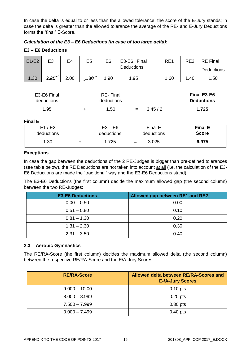In case the delta is equal to or less than the allowed tolerance, the score of the E-Jury stands; in case the delta is greater than the allowed tolerance the average of the RE- and E-Jury Deductions forms the "final" E-Score.

## *Calculation of the E3 – E6 Deductions (in case of too large delta):*

#### **E3 – E6 Deductions**

| E1/E2 | E <sub>3</sub> | E4   | E5   | E6   | E3-E6 Final<br><b>Deductions</b> | RE <sub>1</sub> | RE <sub>2</sub> | <b>RE</b> Final<br><b>Deductions</b> |
|-------|----------------|------|------|------|----------------------------------|-----------------|-----------------|--------------------------------------|
| 1.30  | 2.20           | 2.00 | 1.80 | 1.90 | 1.95                             | .60             | .40             | 1.50                                 |

| E3-E6 Final<br>deductions | <b>RE-Final</b><br>deductions |     |        | <b>Final E3-E6</b><br><b>Deductions</b> |
|---------------------------|-------------------------------|-----|--------|-----------------------------------------|
| 1.95                      | 1.50                          | $=$ | 3.45/2 | 1.725                                   |

#### **Final E**

| iai E      |            |     |            |                |
|------------|------------|-----|------------|----------------|
| E1/E2      | $E3 - E6$  |     | Final E    | <b>Final E</b> |
| deductions | deductions |     | deductions | <b>Score</b>   |
| 1.30       | 1.725      | $=$ | 3.025      | 6.975          |

#### **Exceptions**

In case the gap between the deductions of the 2 RE-Judges is bigger than pre-defined tolerances (see table below), the RE Deductions are not taken into account at all (i.e. the calculation of the E3- E6 Deductions are made the "traditional" way and the E3-E6 Deductions stand).

The E3-E6 Deductions (the first column) decide the maximum allowed gap (the second column) between the two RE-Judges:

| <b>E3-E6 Deductions</b> | Allowed gap between RE1 and RE2 |
|-------------------------|---------------------------------|
| $0.00 - 0.50$           | 0.00                            |
| $0.51 - 0.80$           | 0.10                            |
| $0.81 - 1.30$           | 0.20                            |
| $1.31 - 2.30$           | 0.30                            |
| $2.31 - 3.50$           | 0.40                            |

#### **2.3 Aerobic Gymnastics**

The RE/RA-Score (the first column) decides the maximum allowed delta (the second column) between the respective RE/RA-Score and the E/A-Jury Scores:

| <b>RE/RA-Score</b> | Allowed delta between RE/RA-Scores and<br><b>E-/A-Jury Scores</b> |
|--------------------|-------------------------------------------------------------------|
| $9.000 - 10.00$    | $0.10$ pts                                                        |
| $8.000 - 8.999$    | $0.20$ pts                                                        |
| $7.500 - 7.999$    | $0.30$ pts                                                        |
| $0.000 - 7.499$    | $0.40$ pts                                                        |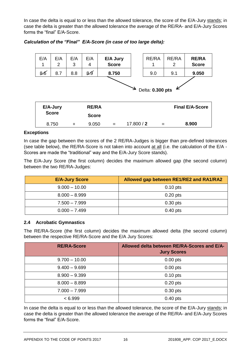In case the delta is equal to or less than the allowed tolerance, the score of the E/A-Jury stands; in case the delta is greater than the allowed tolerance the average of the RE/RA- and E/A-Jury Scores forms the "final" E/A-Score.

| E/A<br>1         | E/A<br>2     | E/A<br>3  | E/A<br>4     | E/A Jury<br><b>Score</b> |            | RE/RA<br>1 | RE/RA<br>2 | <b>RE/RA</b><br><b>Score</b> |
|------------------|--------------|-----------|--------------|--------------------------|------------|------------|------------|------------------------------|
| 8.6              | 8.7          | 8.8       | 8.9          | 8.750                    |            | 9.0        | 9.1        | 9.050                        |
| Delta: 0.300 pts |              |           |              |                          |            |            |            |                              |
|                  | E/A-Jury     |           | <b>RE/RA</b> |                          |            |            |            | <b>Final E/A-Score</b>       |
|                  | <b>Score</b> |           | <b>Score</b> |                          |            |            |            |                              |
|                  | 8.750        | $\ddot{}$ | 9.050        | $=$                      | 17.800 / 2 | $=$        |            | 8.900                        |

*Calculation of the "Final" E/A-Score (in case of too large delta):*

#### **Exceptions**

In case the gap between the scores of the 2 RE/RA-Judges is bigger than pre-defined tolerances (see table below), the RE/RA-Score is not taken into account at all (i.e. the calculation of the E/A - Scores are made the "traditional" way and the E/A-Jury Score stands).

The E/A-Jury Score (the first column) decides the maximum allowed gap (the second column) between the two RE/RA-Judges:

| <b>E/A-Jury Score</b> | Allowed gap between RE1/RE2 and RA1/RA2 |
|-----------------------|-----------------------------------------|
| $9.000 - 10.00$       | $0.10$ pts                              |
| $8.000 - 8.999$       | $0.20$ pts                              |
| $7.500 - 7.999$       | $0.30$ pts                              |
| $0.000 - 7.499$       | $0.40$ pts                              |

#### **2.4 Acrobatic Gymnastics**

The RE/RA-Score (the first column) decides the maximum allowed delta (the second column) between the respective RE/RA-Score and the E/A Jury Scores:

| <b>RE/RA-Score</b> | Allowed delta between RE/RA-Scores and E/A-<br><b>Jury Scores</b> |
|--------------------|-------------------------------------------------------------------|
| $9.700 - 10.00$    | $0.00$ pts                                                        |
| $9.400 - 9.699$    | $0.00$ pts                                                        |
| $8.900 - 9.399$    | $0.10$ pts                                                        |
| $8.000 - 8.899$    | $0.20$ pts                                                        |
| $7.000 - 7.999$    | $0.30$ pts                                                        |
| < 6.999            | $0.40$ pts                                                        |

In case the delta is equal to or less than the allowed tolerance, the score of the E/A-Jury stands; in case the delta is greater than the allowed tolerance the average of the RE/RA- and E/A-Jury Scores forms the "final" E/A-Score.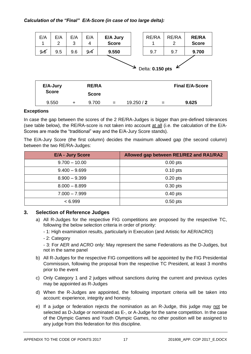| E/A<br>1         | E/A<br>2     | E/A<br>3 | E/A<br>4     | E/A Jury<br><b>Score</b> |  | RE/RA | RE/RA<br>2 | <b>RE/RA</b><br><b>Score</b> |
|------------------|--------------|----------|--------------|--------------------------|--|-------|------------|------------------------------|
| 9.6              | 9.5          | 9.6      | 9.4          | 9.550                    |  | 9.7   | 9.7        | 9.700                        |
| Delta: 0.150 pts |              |          |              |                          |  |       |            |                              |
|                  | E/A-Jury     |          | <b>RE/RA</b> |                          |  |       |            | <b>Final E/A-Score</b>       |
|                  | <b>Score</b> |          | <b>Score</b> |                          |  |       |            |                              |
|                  |              |          |              |                          |  |       |            |                              |

## **Exceptions**

In case the gap between the scores of the 2 RE/RA-Judges is bigger than pre-defined tolerances (see table below), the RE/RA-score is not taken into account at all (i.e. the calculation of the E/A-Scores are made the "traditional" way and the E/A-Jury Score stands).

The E/A-Jury Score (the first column) decides the maximum allowed gap (the second column) between the two RE/RA-Judges:

| <b>E/A - Jury Score</b> | Allowed gap between RE1/RE2 and RA1/RA2 |
|-------------------------|-----------------------------------------|
| $9.700 - 10.00$         | $0.00$ pts                              |
| $9.400 - 9.699$         | $0.10$ pts                              |
| $8.900 - 9.399$         | $0.20$ pts                              |
| $8.000 - 8.899$         | $0.30$ pts                              |
| $7.000 - 7.999$         | $0.40$ pts                              |
| < 6.999                 | $0.50$ pts                              |

## **3. Selection of Reference Judges**

- a) All R-Judges for the respective FIG competitions are proposed by the respective TC, following the below selection criteria in order of priority:
	- 1: High examination results, particularly in Execution (and Artistic for AER/ACRO)
	- 2: Category

- 3: For AER and ACRO only: May represent the same Federations as the D-Judges, but not in the same panel

- b) All R-Judges for the respective FIG competitions will be appointed by the FIG Presidential Commission, following the proposal from the respective TC President, at least 3 months prior to the event
- c) Only Category 1 and 2 judges without sanctions during the current and previous cycles may be appointed as R-Judges
- d) When the R-Judges are appointed, the following important criteria will be taken into account: experience, integrity and honesty.
- e) If a judge or federation rejects the nomination as an R-Judge, this judge may not be selected as D-Judge or nominated as E-, or A-Judge for the same competition. In the case of the Olympic Games and Youth Olympic Games, no other position will be assigned to any judge from this federation for this discipline.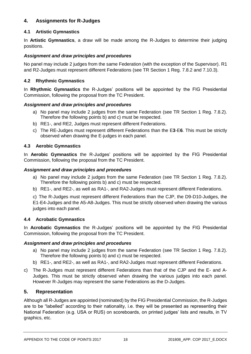# **4. Assignments for R-Judges**

# **4.1 Artistic Gymnastics**

In **Artistic Gymnastics**, a draw will be made among the R-Judges to determine their judging positions.

# *Assignment and draw principles and procedures*

No panel may include 2 judges from the same Federation (with the exception of the Supervisor). R1 and R2-Judges must represent different Federations (see TR Section 1 Reg. 7.8.2 and 7.10.3).

# **4.2 Rhythmic Gymnastics**

In **Rhythmic Gymnastics** the R-Judges' positions will be appointed by the FIG Presidential Commission, following the proposal from the TC President.

## *Assignment and draw principles and procedures*

- a) No panel may include 2 judges from the same Federation (see TR Section 1 Reg. 7.8.2). Therefore the following points b) and c) must be respected.
- b) RE1-, and RE2, Judges must represent different Federations.
- c) The RE-Judges must represent different Federations than the E**3**-E**6**. This must be strictly observed when drawing the E-judges in each panel.

# **4.3 Aerobic Gymnastics**

In **Aerobic Gymnastics** the R-Judges' positions will be appointed by the FIG Presidential Commission, following the proposal from the TC President.

## *Assignment and draw principles and procedures*

- a) No panel may include 2 judges from the same Federation (see TR Section 1 Reg. 7.8.2). Therefore the following points b) and c) must be respected.
- b) RE1-, and RE2-, as well as RA1-, and RA2-Judges must represent different Federations.

c) The R-Judges must represent different Federations than the CJP, the D9-D10-Judges, the E1-E4-Judges and the A5-A8-Judges. This must be strictly observed when drawing the various judges into each panel.

## **4.4 Acrobatic Gymnastics**

In **Acrobatic Gymnastics** the R-Judges' positions will be appointed by the FIG Presidential Commission, following the proposal from the TC President.

## *Assignment and draw principles and procedures*

- a) No panel may include 2 judges from the same Federation (see TR Section 1 Reg. 7.8.2). Therefore the following points b) and c) must be respected.
- b) RE1-, and RE2-, as well as RA1-, and RA2-Judges must represent different Federations.
- c) The R-Judges must represent different Federations than that of the CJP and the E- and A-Judges. This must be strictly observed when drawing the various judges into each panel. However R-Judges may represent the same Federations as the D-Judges.

## **5. Representation**

Although all R-Judges are appointed (nominated) by the FIG Presidential Commission, the R-Judges are to be "labelled" according to their nationality, i.e. they will be presented as representing their National Federation (e.g. USA or RUS) on scoreboards, on printed judges' lists and results, in TV graphics, etc.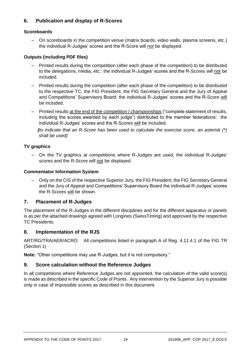# **6. Publication and display of R-Scores**

# **Scoreboards**

– On scoreboards in the competition venue (matrix boards, video walls, plasma screens, etc.) the individual R-Judges' scores and the R-Score will not be displayed.

# **Outputs (including PDF files)**

- Printed results during the competition (after each phase of the competition) to be distributed to the delegations, media, etc.: the individual R-Judges' scores and the R-Scores will not be included.
- Printed results during the competition (after each phase of the competition) to be distributed to the respective TC, the FIG President, the FIG Secretary General and the Jury of Appeal and Competitions' Supervisory Board: the individual R-Judges' scores and the R-Score will be included.
- Printed results at the end of the competition / championships ("complete statement of results, including the scores awarded by each judge") distributed to the member federations: the individual R-Judges' scores and the R-Scores will be included.

*(to indicate that an R-Score has been used to calculate the exercise score, an asterisk (\*) shall be used)*

# **TV graphics**

– On the TV graphics at competitions where R-Judges are used, the individual R-Judges' scores and the R-Score will not be displayed.

## **Commentator Information System**

– Only on the CIS of the respective Superior Jury, the FIG President, the FIG Secretary General and the Jury of Appeal and Competitions' Supervisory Board the individual R-Judges' scores the R-Scores will be shown.

# **7. Placement of R-Judges**

The placement of the R-Judges in the different disciplines and for the different apparatus or panels is as per the attached drawings agreed with Longines (SwissTiming) and approved by the respective TC Presidents.

# **8. Implementation of the RJS**

ART/RG/TRA/AER/ACRO: All competitions listed in paragraph A of Reg. 4.11.4.1 of the FIG TR (Section 1)

**Note:** "Other competitions may use R-Judges, but it is not compulsory."

# **9. Score calculation without the Reference Judges**

In all competitions where Reference Judges are not appointed, the calculation of the valid score(s) is made as described in the specific Code of Points. Any intervention by the Superior Jury is possible only in case of impossible scores as described in this document.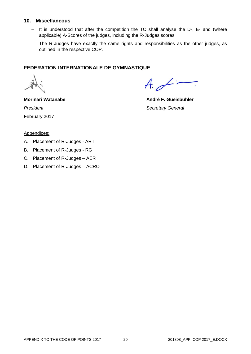## **10. Miscellaneous**

- It is understood that after the competition the TC shall analyse the D-, E- and (where applicable) A-Scores of the judges, including the R-Judges scores.
- The R-Judges have exactly the same rights and responsibilities as the other judges, as outlined in the respective COP.

# **FEDERATION INTERNATIONALE DE GYMNASTIQUE**

 $A\neq$ 

**Morinari Watanabe André F. Gueisbuhler President** Secretary General February 2017

#### Appendices:

- A. Placement of R-Judges ART
- B. Placement of R-Judges RG
- C. Placement of R-Judges AER
- D. Placement of R-Judges ACRO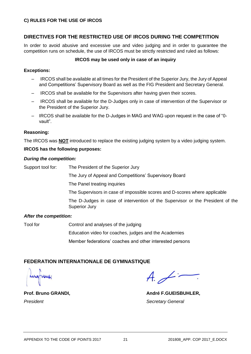## **C) RULES FOR THE USE OF IRCOS**

# **DIRECTIVES FOR THE RESTRICTED USE OF IRCOS DURING THE COMPETITION**

In order to avoid abusive and excessive use and video judging and in order to guarantee the competition runs on schedule, the use of IRCOS must be strictly restricted and ruled as follows:

#### **IRCOS may be used only in case of an inquiry**

#### **Exceptions:**

- IRCOS shall be available at all times for the President of the Superior Jury, the Jury of Appeal and Competitions' Supervisory Board as well as the FIG President and Secretary General.
- IRCOS shall be available for the Supervisors after having given their scores.
- IRCOS shall be available for the D-Judges only in case of intervention of the Supervisor or the President of the Superior Jury.
- IRCOS shall be available for the D-Judges in MAG and WAG upon request in the case of "0 vault".

#### **Reasoning:**

The IRCOS was **NOT** introduced to replace the existing judging system by a video judging system.

#### **IRCOS has the following purposes:**

#### *During the competition:*

Support tool for: The President of the Superior Jury

The Jury of Appeal and Competitions' Supervisory Board

The Panel treating inquiries

The Supervisors in case of impossible scores and D-scores where applicable

The D-Judges in case of intervention of the Supervisor or the President of the Superior Jury

#### *After the competition:*

Tool for Control and analyses of the judging

Education video for coaches, judges and the Academies

Member federations' coaches and other interested persons

## **FEDERATION INTERNATIONALE DE GYMNASTIQUE**

 $A \neq$ 

Prof. Bruno GRANDI, **André F.GUEISBUHLER,** 

*President Secretary General*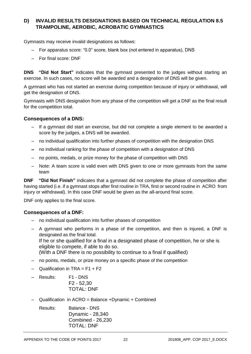# **D) INVALID RESULTS DESIGNATIONS BASED ON TECHNICAL REGULATION 8.5 TRAMPOLINE, AEROBIC, ACROBATIC GYMNASTICS**

Gymnasts may receive invalid designations as follows:

- For apparatus score: "0.0" score, blank box (not entered in apparatus), DNS
- For final score: DNF

**DNS "Did Not Start"** indicates that the gymnast presented to the judges without starting an exercise. In such cases, no score will be awarded and a designation of DNS will be given.

A gymnast who has not started an exercise during competition because of injury or withdrawal, will get the designation of DNS.

Gymnasts with DNS designation from any phase of the competition will get a DNF as the final result for the competition total.

## **Consequences of a DNS:**

- If a gymnast did start an exercise, but did not complete a single element to be awarded a score by the judges, a DNS will be awarded.
- no individual qualification into further phases of competition with the designation DNS
- no individual ranking for the phase of competition with a designation of DNS
- no points, medals, or prize money for the phase of competition with DNS
- Note: A team score is valid even with DNS given to one or more gymnasts from the same team

**DNF "Did Not Finish"** indicates that a gymnast did not complete the phase of competition after having started (i.e. if a gymnast stops after first routine in TRA, first or second routine in ACRO from injury or withdrawal). In this case DNF would be given as the all-around final score.

DNF only applies to the final score.

#### **Consequences of a DNF:**

- no individual qualification into further phases of competition
- A gymnast who performs in a phase of the competition, and then is injured, a DNF is designated as the final total. If he or she qualified for a final in a designated phase of competition, he or she is eligible to compete, if able to do so. (With a DNF there is no possibility to continue to a final if qualified)
- no points, medals, or prize money on a specific phase of the competition
- $-$  Qualification in TRA = F1 + F2
- Results: F1 DNS F2 - 52,30 TOTAL: DNF
- Qualification in ACRO = Balance +Dynamic + Combined
	- Results: Balance DNS Dynamic - 28,340 Combined - 26,230 TOTAL: DNF